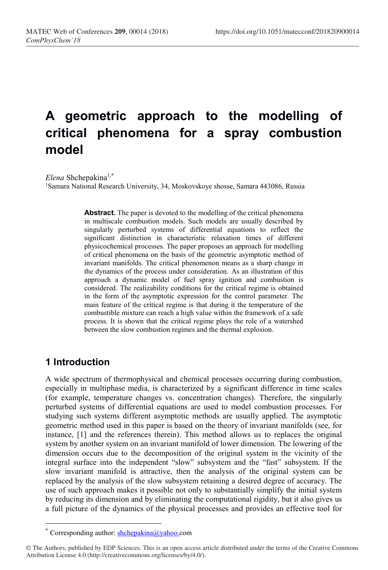# A geometric approach to the modelling of critical phenomena for a spray combustion model

Elena Shchepakina<sup>1,\*</sup>

<sup>1</sup>Samara National Research University, 34, Moskovskoye shosse, Samara 443086, Russia

Abstract. The paper is devoted to the modelling of the critical phenomena in multiscale combustion models. Such models are usually described by singularly perturbed systems of differential equations to reflect the significant distinction in characteristic relaxation times of different physicochemical processes. The paper proposes an approach for modelling of critical phenomena on the basis of the geometric asymptotic method of invariant manifolds. The critical phenomenon means as a sharp change in the dynamics of the process under consideration. As an illustration of this approach a dynamic model of fuel spray ignition and combustion is considered. The realizability conditions for the critical regime is obtained in the form of the asymptotic expression for the control parameter. The main feature of the critical regime is that during it the temperature of the combustible mixture can reach a high value within the framework of a safe process. It is shown that the critical regime plays the role of a watershed between the slow combustion regimes and the thermal explosion.

### 1 Introduction

-

A wide spectrum of thermophysical and chemical processes occurring during combustion, especially in multiphase media, is characterized by a significant difference in time scales (for example, temperature changes vs. concentration changes). Therefore, the singularly perturbed systems of differential equations are used to model combustion processes. For studying such systems different asymptotic methods are usually applied. The asymptotic geometric method used in this paper is based on the theory of invariant manifolds (see, for instance, [1] and the references therein). This method allows us to replaces the original system by another system on an invariant manifold of lower dimension. The lowering of the dimension occurs due to the decomposition of the original system in the vicinity of the integral surface into the independent "slow" subsystem and the "fast" subsystem. If the slow invariant manifold is attractive, then the analysis of the original system can be replaced by the analysis of the slow subsystem retaining a desired degree of accuracy. The use of such approach makes it possible not only to substantially simplify the initial system by reducing its dimension and by eliminating the computational rigidity, but it also gives us a full picture of the dynamics of the physical processes and provides an effective tool for

<sup>\*</sup> Corresponding author: shchepakina@yahoo.com

<sup>©</sup> The Authors, published by EDP Sciences. This is an open access article distributed under the terms of the Creative Commons Attribution License 4.0 (http://creativecommons.org/licenses/by/4.0/).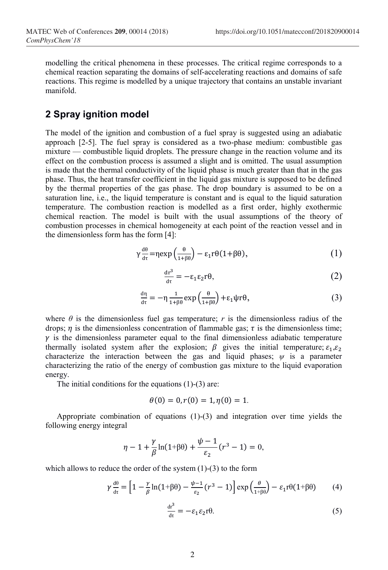modelling the critical phenomena in these processes. The critical regime corresponds to a chemical reaction separating the domains of self-accelerating reactions and domains of safe reactions. This regime is modelled by a unique trajectory that contains an unstable invariant manifold.

#### 2 Spray ignition model

The model of the ignition and combustion of a fuel spray is suggested using an adiabatic approach [2-5]. The fuel spray is considered as a two-phase medium: combustible gas mixture — combustible liquid droplets. The pressure change in the reaction volume and its effect on the combustion process is assumed a slight and is omitted. The usual assumption is made that the thermal conductivity of the liquid phase is much greater than that in the gas phase. Thus, the heat transfer coefficient in the liquid gas mixture is supposed to be defined by the thermal properties of the gas phase. The drop boundary is assumed to be on a saturation line, i.e., the liquid temperature is constant and is equal to the liquid saturation temperature. The combustion reaction is modelled as a first order, highly exothermic chemical reaction. The model is built with the usual assumptions of the theory of combustion processes in chemical homogeneity at each point of the reaction vessel and in the dimensionless form has the form [4]:

$$
\gamma \frac{d\theta}{d\tau} = \eta \exp\left(\frac{\theta}{1+\beta\theta}\right) - \varepsilon_1 r \theta (1+\beta\theta),\tag{1}
$$

$$
\frac{dr^3}{dr} = -\varepsilon_1 \varepsilon_2 r\theta,\tag{2}
$$

$$
\frac{d\eta}{d\tau} = -\eta \frac{1}{1+\beta\theta} \exp\left(\frac{\theta}{1+\beta\theta}\right) + \varepsilon_1 \psi \tau \theta,\tag{3}
$$

where  $\theta$  is the dimensionless fuel gas temperature; r is the dimensionless radius of the drops;  $\eta$  is the dimensionless concentration of flammable gas;  $\tau$  is the dimensionless time;  $\gamma$  is the dimensionless parameter equal to the final dimensionless adiabatic temperature thermally isolated system after the explosion;  $\beta$  gives the initial temperature;  $\varepsilon_1, \varepsilon_2$ characterize the interaction between the gas and liquid phases;  $\psi$  is a parameter characterizing the ratio of the energy of combustion gas mixture to the liquid evaporation energy.

The initial conditions for the equations  $(1)-(3)$  are:

$$
\theta(0) = 0, r(0) = 1, \eta(0) = 1.
$$

Appropriate combination of equations (1)-(3) and integration over time yields the following energy integral

$$
\eta - 1 + \frac{\gamma}{\beta} \ln(1 + \beta \theta) + \frac{\psi - 1}{\varepsilon_2} (r^3 - 1) = 0,
$$

which allows to reduce the order of the system  $(1)-(3)$  to the form

$$
\gamma \frac{d\theta}{dt} = \left[1 - \frac{\gamma}{\beta} \ln(1 + \beta \theta) - \frac{\psi - 1}{\varepsilon_2} (r^3 - 1) \right] \exp\left(\frac{\theta}{1 + \beta \theta}\right) - \varepsilon_1 r \theta (1 + \beta \theta) \tag{4}
$$

$$
\frac{dr^3}{dt} = -\varepsilon_1 \varepsilon_2 r\theta. \tag{5}
$$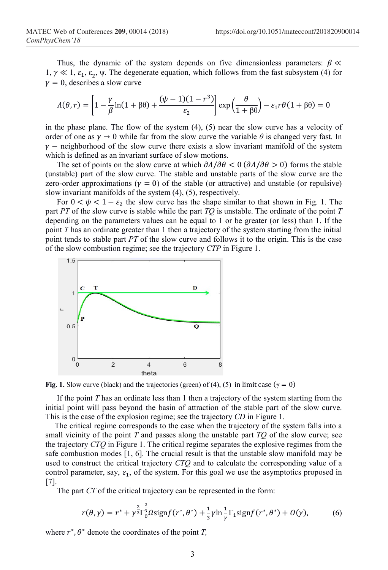Thus, the dynamic of the system depends on five dimensionless parameters:  $\beta \ll$ 1, γ ≪ 1,  $ε_1$ ,  $ε_2$ , ψ. The degenerate equation, which follows from the fast subsystem (4) for  $y = 0$ , describes a slow curve

$$
\Lambda(\theta, r) = \left[1 - \frac{\gamma}{\beta} \ln(1 + \beta \theta) + \frac{(\psi - 1)(1 - r^3)}{\varepsilon_2}\right] \exp\left(\frac{\theta}{1 + \beta \theta}\right) - \varepsilon_1 r \theta (1 + \beta \theta) = 0
$$

in the phase plane. The flow of the system (4), (5) near the slow curve has a velocity of order of one as  $\gamma \to 0$  while far from the slow curve the variable  $\theta$  is changed very fast. In  $\gamma$  – neighborhood of the slow curve there exists a slow invariant manifold of the system which is defined as an invariant surface of slow motions.

The set of points on the slow curve at which  $\partial \Lambda / \partial \theta < 0$  ( $\partial \Lambda / \partial \theta > 0$ ) forms the stable (unstable) part of the slow curve. The stable and unstable parts of the slow curve are the zero-order approximations ( $y = 0$ ) of the stable (or attractive) and unstable (or repulsive) slow invariant manifolds of the system (4), (5), respectively.

For  $0 < \psi < 1 - \varepsilon_2$  the slow curve has the shape similar to that shown in Fig. 1. The part PT of the slow curve is stable while the part  $TO$  is unstable. The ordinate of the point  $T$ depending on the parameters values can be equal to 1 or be greater (or less) than 1. If the point T has an ordinate greater than 1 then a trajectory of the system starting from the initial point tends to stable part PT of the slow curve and follows it to the origin. This is the case of the slow combustion regime; see the trajectory CTP in Figure 1.



Fig. 1. Slow curve (black) and the trajectories (green) of (4), (5) in limit case ( $\gamma = 0$ )

If the point  $T$  has an ordinate less than 1 then a trajectory of the system starting from the initial point will pass beyond the basin of attraction of the stable part of the slow curve. This is the case of the explosion regime; see the trajectory CD in Figure 1.

The critical regime corresponds to the case when the trajectory of the system falls into a small vicinity of the point  $T$  and passes along the unstable part  $TQ$  of the slow curve; see the trajectory CTQ in Figure 1. The critical regime separates the explosive regimes from the safe combustion modes [1, 6]. The crucial result is that the unstable slow manifold may be used to construct the critical trajectory CTQ and to calculate the corresponding value of a control parameter, say,  $\varepsilon_1$ , of the system. For this goal we use the asymptotics proposed in [7].

The part CT of the critical trajectory can be represented in the form:

$$
r(\theta,\gamma) = r^* + \gamma^{\frac{2}{3}} \Gamma_0^{\frac{2}{3}} \Omega \text{sign} f(r^*,\theta^*) + \frac{1}{3} \gamma \ln \frac{1}{\gamma} \Gamma_1 \text{sign} f(r^*,\theta^*) + O(\gamma),\tag{6}
$$

where  $r^*$ ,  $\theta^*$  denote the coordinates of the point T,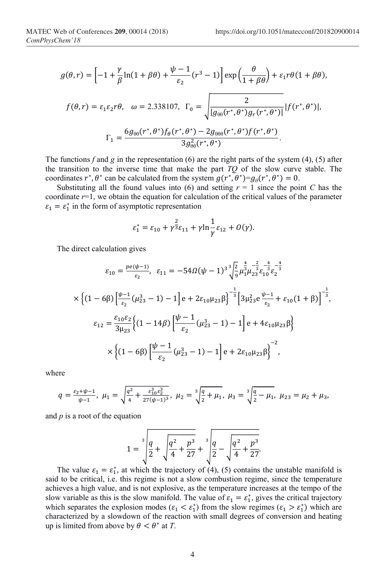$$
g(\theta, r) = \left[ -1 + \frac{\gamma}{\beta} \ln(1 + \beta \theta) + \frac{\psi - 1}{\varepsilon_2} (r^3 - 1) \right] \exp\left(\frac{\theta}{1 + \beta \theta}\right) + \varepsilon_1 r \theta (1 + \beta \theta),
$$
  

$$
f(\theta, r) = \varepsilon_1 \varepsilon_2 r \theta, \quad \omega = 2.338107, \quad \Gamma_0 = \sqrt{\frac{2}{|g_{\theta\theta}(r^*, \theta^*)g_r(r^*, \theta^*)|}} |f(r^*, \theta^*)|,
$$
  

$$
\Gamma_1 = \frac{6g_{\theta\theta}(r^*, \theta^*)f_{\theta}(r^*, \theta^*) - 2g_{\theta\theta\theta}(r^*, \theta^*)f(r^*, \theta^*)}{3g_{\theta\theta}^2(r^*, \theta^*)}.
$$

The functions f and g in the representation (6) are the right parts of the system (4), (5) after the transition to the inverse time that make the part  $TQ$  of the slow curve stable. The coordinates  $r^*, \theta^*$  can be calculated from the system  $g(r^*, \theta^*) = g_\theta(r^*, \theta^*) = 0$ .

Substituting all the found values into (6) and setting  $r = 1$  since the point C has the coordinate  $r=1$ , we obtain the equation for calculation of the critical values of the parameter  $\varepsilon_1 = \varepsilon_1^*$  in the form of asymptotic representation

$$
\varepsilon_1^* = \varepsilon_{10} + \gamma^{\frac{2}{3}} \varepsilon_{11} + \gamma \ln \frac{1}{\gamma} \varepsilon_{12} + O(\gamma).
$$

The direct calculation gives

$$
\varepsilon_{10} = \frac{pe(\psi - 1)}{\varepsilon_2}, \quad \varepsilon_{11} = -54\Omega(\psi - 1)^3 \sqrt{\frac{2}{9}} \mu_1^{\frac{4}{3}} \mu_2^{\frac{2}{3}} \varepsilon_1^{-\frac{4}{3}} \varepsilon_2^{-\frac{4}{3}} \times \left\{ (1 - 6\beta) \left[ \frac{\psi - 1}{\varepsilon_2} (\mu_{23}^3 - 1) - 1 \right] e + 2\varepsilon_{10} \mu_{23} \beta \right\}^{-\frac{1}{3}} \left[ 3\mu_{23}^2 e \frac{\psi - 1}{\varepsilon_2} + \varepsilon_{10} (1 + \beta) \right]^{-\frac{1}{3}},
$$
  

$$
\varepsilon_{12} = \frac{\varepsilon_{10} \varepsilon_2}{3\mu_{23}} \left\{ (1 - 14\beta) \left[ \frac{\psi - 1}{\varepsilon_2} (\mu_{23}^3 - 1) - 1 \right] e + 4\varepsilon_{10} \mu_{23} \beta \right\}
$$
  

$$
\times \left\{ (1 - 6\beta) \left[ \frac{\psi - 1}{\varepsilon_2} (\mu_{23}^3 - 1) - 1 \right] e + 2\varepsilon_{10} \mu_{23} \beta \right\}^{-2},
$$

where

$$
q = \frac{\varepsilon_2 + \psi - 1}{\psi - 1}, \ \mu_1 = \sqrt{\frac{q^2}{4} + \frac{\varepsilon_1^3 \varepsilon_2^3}{27(\psi - 1)^3}}, \ \mu_2 = \sqrt[3]{\frac{q}{2} + \mu_1}, \ \mu_3 = \sqrt[3]{\frac{q}{2} - \mu_1}, \ \mu_{23} = \mu_2 + \mu_3,
$$

and  $p$  is a root of the equation

$$
1 = \sqrt[3]{\frac{q}{2} + \sqrt{\frac{q^2}{4} + \frac{p^3}{27} + \sqrt[3]{\frac{q}{2} - \sqrt{\frac{q^2}{4} + \frac{p^3}{27}}}}}
$$

The value  $\varepsilon_1 = \varepsilon_1^*$ , at which the trajectory of (4), (5) contains the unstable manifold is said to be critical, i.e. this regime is not a slow combustion regime, since the temperature achieves a high value, and is not explosive, as the temperature increases at the tempo of the slow variable as this is the slow manifold. The value of  $\varepsilon_1 = \varepsilon_1^*$ , gives the critical trajectory which separates the explosion modes ( $\varepsilon_1 < \varepsilon_1^*$ ) from the slow regimes ( $\varepsilon_1 > \varepsilon_1^*$ ) which are characterized by a slowdown of the reaction with small degrees of conversion and heating up is limited from above by  $\theta < \theta^*$  at T.